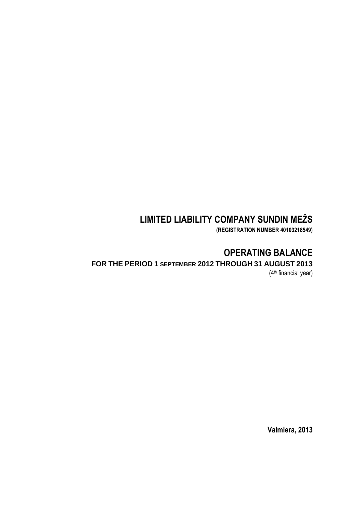# **LIMITED LIABILITY COMPANY SUNDIN MEŽS**

**(REGISTRATION NUMBER 40103218549)**

# **OPERATING BALANCE**

## **FOR THE PERIOD 1 SEPTEMBER 2012 THROUGH 31 AUGUST 2013**

(4 th financial year)

**Valmiera, 2013**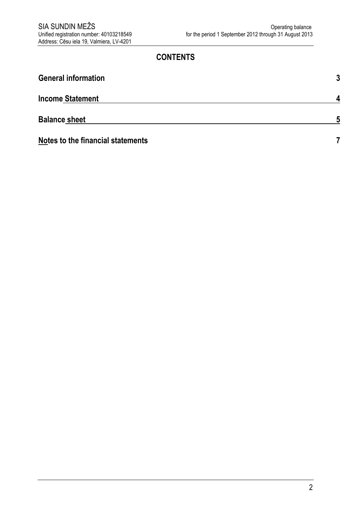## **CONTENTS**

| <b>General information</b>               | 3 |
|------------------------------------------|---|
| <b>Income Statement</b>                  | A |
| <b>Balance sheet</b>                     | 5 |
| <b>Notes to the financial statements</b> |   |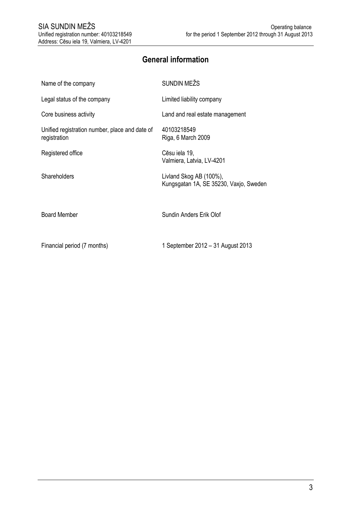# **General information**

 $\ddot{\phantom{a}}$ 

<span id="page-2-0"></span>

| Name of the company                                            | SUNDIN MEŽS                                                       |
|----------------------------------------------------------------|-------------------------------------------------------------------|
| Legal status of the company                                    | Limited liability company                                         |
| Core business activity                                         | Land and real estate management                                   |
| Unified registration number, place and date of<br>registration | 40103218549<br>Riga, 6 March 2009                                 |
| Registered office                                              | Cēsu iela 19,<br>Valmiera, Latvia, LV-4201                        |
| Shareholders                                                   | Livland Skog AB (100%),<br>Kungsgatan 1A, SE 35230, Vaxjo, Sweden |
| <b>Board Member</b>                                            | Sundin Anders Erik Olof                                           |
| Financial period (7 months)                                    | 1 September 2012 – 31 August 2013                                 |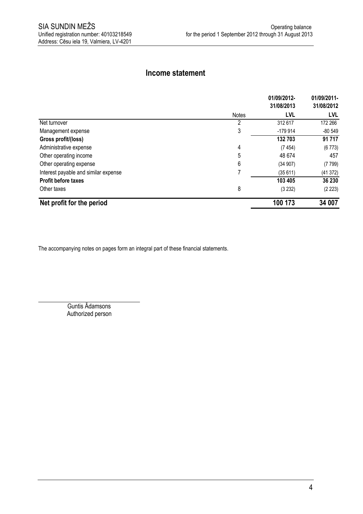## **Income statement**

<span id="page-3-0"></span>

|                                      |              | 01/09/2012- | 01/09/2011- |
|--------------------------------------|--------------|-------------|-------------|
|                                      |              | 31/08/2013  | 31/08/2012  |
|                                      | <b>Notes</b> | <b>LVL</b>  | LVL         |
| Net turnover                         | 2            | 312 617     | 172 266     |
| Management expense                   | 3            | $-179914$   | $-80549$    |
| Gross profit/(loss)                  |              | 132 703     | 91717       |
| Administrative expense               | 4            | (7454)      | (6773)      |
| Other operating income               | 5            | 48 674      | 457         |
| Other operating expense              | 6            | (34907)     | (7799)      |
| Interest payable and similar expense |              | (35611)     | (41372)     |
| <b>Profit before taxes</b>           |              | 103 405     | 36 230      |
| Other taxes                          | 8            | (3 232)     | (2 223)     |
| Net profit for the period            |              | 100 173     | 34 007      |

The accompanying notes on pages form an integral part of these financial statements.

Guntis Ādamsons Authorized person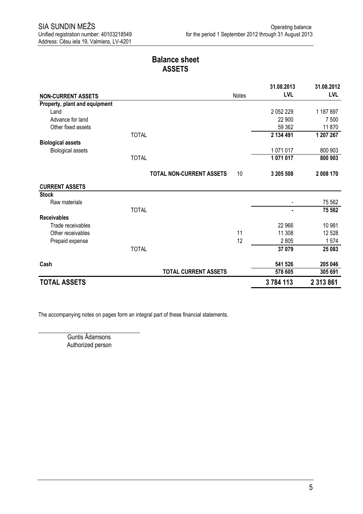## **Balance sheet ASSETS**

<span id="page-4-0"></span>

|                               |                                 |       | 31.08.2013    | 31.08.2012 |
|-------------------------------|---------------------------------|-------|---------------|------------|
| <b>NON-CURRENT ASSETS</b>     |                                 | Notes | <b>LVL</b>    | <b>LVL</b> |
| Property, plant and equipment |                                 |       |               |            |
| Land                          |                                 |       | 2 0 5 2 2 2 9 | 1 187 897  |
| Advance for land              |                                 |       | 22 900        | 7 500      |
| Other fixed assets            |                                 |       | 59 362        | 11870      |
|                               | <b>TOTAL</b>                    |       | 2 134 491     | 1 207 267  |
| <b>Biological assets</b>      |                                 |       |               |            |
| <b>Biological assets</b>      |                                 |       | 1071017       | 800 903    |
|                               | <b>TOTAL</b>                    |       | 1071017       | 800 903    |
|                               | <b>TOTAL NON-CURRENT ASSETS</b> | 10    | 3 205 508     | 2 008 170  |
| <b>CURRENT ASSETS</b>         |                                 |       |               |            |
| <b>Stock</b>                  |                                 |       |               |            |
| Raw materials                 |                                 |       |               | 75 562     |
|                               | <b>TOTAL</b>                    |       |               | 75 562     |
| <b>Receivables</b>            |                                 |       |               |            |
| Trade receivables             |                                 |       | 22 966        | 10 981     |
| Other receivables             |                                 | 11    | 11 308        | 12 5 28    |
| Prepaid expense               |                                 | 12    | 2805          | 1574       |
|                               | <b>TOTAL</b>                    |       | 37 079        | 25 083     |
| Cash                          |                                 |       | 541 526       | 205 046    |
|                               | <b>TOTAL CURRENT ASSETS</b>     |       | 578 605       | 305 691    |
| <b>TOTAL ASSETS</b>           |                                 |       | 3784113       | 2 313 861  |

The accompanying notes on pages form an integral part of these financial statements.

Guntis Ādamsons Authorized person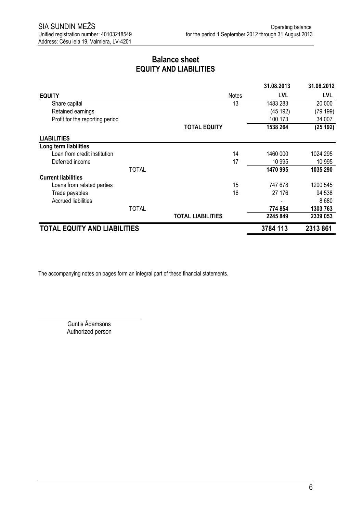## **Balance sheet EQUITY AND LIABILITIES**

|                                     |              |                          |              | 31.08.2013 | 31.08.2012 |
|-------------------------------------|--------------|--------------------------|--------------|------------|------------|
| <b>EQUITY</b>                       |              |                          | <b>Notes</b> | <b>LVL</b> | <b>LVL</b> |
| Share capital                       |              |                          | 13           | 1483 283   | 20 000     |
| Retained earnings                   |              |                          |              | (45 192)   | (79 199)   |
| Profit for the reporting period     |              |                          |              | 100 173    | 34 007     |
|                                     |              | <b>TOTAL EQUITY</b>      |              | 1538 264   | (25192)    |
| <b>LIABILITIES</b>                  |              |                          |              |            |            |
| Long term liabilities               |              |                          |              |            |            |
| Loan from credit institution        |              |                          | 14           | 1460 000   | 1024 295   |
| Deferred income                     |              |                          | 17           | 10 995     | 10 995     |
|                                     | <b>TOTAL</b> |                          |              | 1470 995   | 1035 290   |
| <b>Current liabilities</b>          |              |                          |              |            |            |
| Loans from related parties          |              |                          | 15           | 747 678    | 1200 545   |
| Trade payables                      |              |                          | 16           | 27 176     | 94 538     |
| Accrued liabilities                 |              |                          |              |            | 8680       |
|                                     | <b>TOTAL</b> |                          |              | 774 854    | 1303 763   |
|                                     |              | <b>TOTAL LIABILITIES</b> |              | 2245 849   | 2339 053   |
| <b>TOTAL EQUITY AND LIABILITIES</b> |              |                          |              | 3784 113   | 2313861    |

The accompanying notes on pages form an integral part of these financial statements.

Guntis Ādamsons Authorized person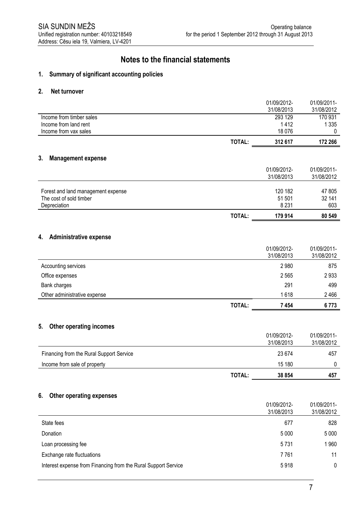## **Notes to the financial statements**

#### **1. Summary of significant accounting policies**

#### **2. Net turnover**

|                                     |               | 01/09/2012-<br>31/08/2013 | 01/09/2011-<br>31/08/2012 |
|-------------------------------------|---------------|---------------------------|---------------------------|
| Income from timber sales            |               | 293 129                   | 170 931                   |
| Income from land rent               |               | 1412                      | 1 3 3 5                   |
| Income from vax sales               |               | 18 0 76                   | 0                         |
|                                     | TOTAL:        | 312 617                   | 172 266                   |
| 3.<br><b>Management expense</b>     |               |                           |                           |
|                                     |               | 01/09/2012-               | 01/09/2011-               |
|                                     |               | 31/08/2013                | 31/08/2012                |
| Forest and land management expense  |               | 120 182                   | 47 805                    |
| The cost of sold timber             |               | 51 501                    | 32 141                    |
| Depreciation                        |               | 8 2 3 1                   | 603                       |
|                                     | <b>TOTAL:</b> | 179 914                   | 80 549                    |
|                                     |               |                           |                           |
| <b>Administrative expense</b><br>4. |               |                           |                           |
|                                     |               | 01/09/2012-               | 01/09/2011-               |
|                                     |               | 31/08/2013                | 31/08/2012                |
| Accounting services                 |               | 2980                      | 875                       |

| Office expenses<br>Bank charges |        | 2 5 6 5<br>291 | 2933<br>499 |
|---------------------------------|--------|----------------|-------------|
| Other administrative expense    |        | 1618           | 2466        |
|                                 | TOTAL: | 7 454          | 6773        |

#### **5. Other operating incomes**

|                                          | <b>TOTAL:</b> | 38 854                    | 457                       |
|------------------------------------------|---------------|---------------------------|---------------------------|
| Income from sale of property             |               | 15 180                    |                           |
| Financing from the Rural Support Service |               | 23 674                    | 457                       |
|                                          |               | 01/09/2012-<br>31/08/2013 | 01/09/2011-<br>31/08/2012 |

#### **6. Other operating expenses**

|                                                                | 01/09/2012-<br>31/08/2013 | 01/09/2011-<br>31/08/2012 |
|----------------------------------------------------------------|---------------------------|---------------------------|
| State fees                                                     | 677                       | 828                       |
| Donation                                                       | 5 0 0 0                   | 5 0 0 0                   |
| Loan processing fee                                            | 5731                      | 1960                      |
| Exchange rate fluctuations                                     | 7 7 6 1                   | 11                        |
| Interest expense from Financing from the Rural Support Service | 5918                      | $\mathbf{0}$              |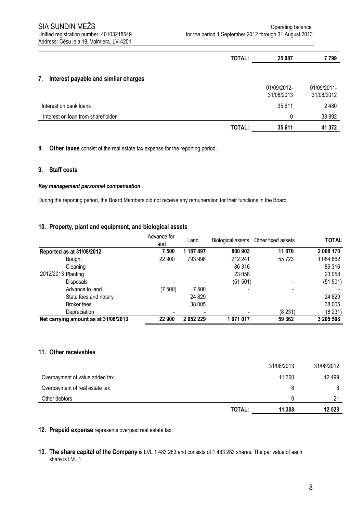|                                            | TOTAL: | 25 087                    | 7799                      |
|--------------------------------------------|--------|---------------------------|---------------------------|
| Interest payable and similar charges<br>7. |        |                           |                           |
|                                            |        | 01/09/2012-<br>31/08/2013 | 01/09/2011-<br>31/08/2012 |
| Interest on bank loans                     |        | 35 611                    | 2480                      |
| Interest on loan from shareholder          |        | $\Omega$                  | 38 892                    |
|                                            | TOTAL: | 35 611                    | 41 372                    |

**8. Other taxes** consist of the real estate tax expense for the reporting period.

#### **9. Staff costs**

#### *Key management personnel compensation*

During the reporting period, the Board Members did not receive any remuneration for their functions in the Board.

#### **10. Property, plant and equipment, and biological assets**

|                                      | Advance for | Land      | Biological assets | Other fixed assets | <b>TOTAL</b> |
|--------------------------------------|-------------|-----------|-------------------|--------------------|--------------|
|                                      | land        |           |                   |                    |              |
| Reported as at 31/08/2012            | 7 500       | 1 187 897 | 800 903           | 11870              | 2 008 170    |
| Bought                               | 22 900      | 793 998   | 212 241           | 55 7 23            | 1084862      |
| Cleaning                             |             |           | 86 316            |                    | 86 316       |
| 2012/2013 Planting                   |             |           | 23 058            |                    | 23 058       |
| <b>Disposals</b>                     |             |           | (51 501)          |                    | (51 501)     |
| Advance to land                      | (7500)      | 7 500     |                   |                    |              |
| State fees and notary                |             | 24 8 29   |                   |                    | 24 8 29      |
| Broker fees                          |             | 38 005    |                   |                    | 38 005       |
| Depreciation                         |             |           |                   | (8231)             | (8231)       |
| Net carrying amount as at 31/08/2013 | 22 900      | 2 052 229 | 1071017           | 59 362             | 3 205 508    |

#### **11. Other receivables**

|                                |        | 31/08/2013 | 31/08/2012 |
|--------------------------------|--------|------------|------------|
| Overpayment of value added tax |        | 11 300     | 12 499     |
| Overpayment of real estate tax |        | 8          |            |
| Other debtors                  |        |            | 21         |
|                                | TOTAL: | 11 308     | 12 528     |

**12. Prepaid expense** represents overpaid real estate tax.

**13. The share capital of the Company** is LVL 1 483 283 and consists of 1 483 283 shares. The par value of each share is LVL 1.